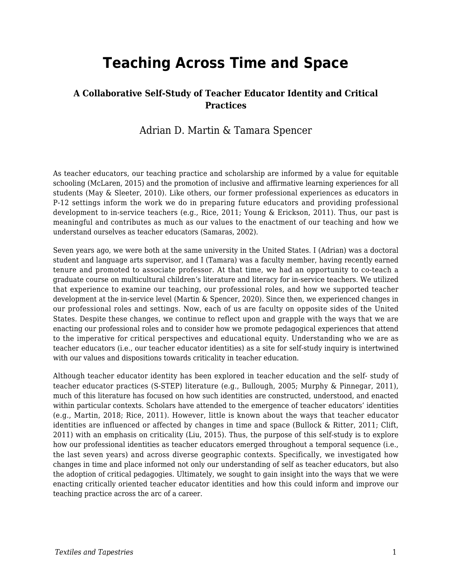# **Teaching Across Time and Space**

#### **A Collaborative Self-Study of Teacher Educator Identity and Critical Practices**

#### Adrian D. Martin & Tamara Spencer

As teacher educators, our teaching practice and scholarship are informed by a value for equitable schooling (McLaren, 2015) and the promotion of inclusive and affirmative learning experiences for all students (May & Sleeter, 2010). Like others, our former professional experiences as educators in P-12 settings inform the work we do in preparing future educators and providing professional development to in-service teachers (e.g., Rice, 2011; Young & Erickson, 2011). Thus, our past is meaningful and contributes as much as our values to the enactment of our teaching and how we understand ourselves as teacher educators (Samaras, 2002).

Seven years ago, we were both at the same university in the United States. I (Adrian) was a doctoral student and language arts supervisor, and I (Tamara) was a faculty member, having recently earned tenure and promoted to associate professor. At that time, we had an opportunity to co-teach a graduate course on multicultural children's literature and literacy for in-service teachers. We utilized that experience to examine our teaching, our professional roles, and how we supported teacher development at the in-service level (Martin & Spencer, 2020). Since then, we experienced changes in our professional roles and settings. Now, each of us are faculty on opposite sides of the United States. Despite these changes, we continue to reflect upon and grapple with the ways that we are enacting our professional roles and to consider how we promote pedagogical experiences that attend to the imperative for critical perspectives and educational equity. Understanding who we are as teacher educators (i.e., our teacher educator identities) as a site for self-study inquiry is intertwined with our values and dispositions towards criticality in teacher education.

Although teacher educator identity has been explored in teacher education and the self- study of teacher educator practices (S-STEP) literature (e.g., Bullough, 2005; Murphy & Pinnegar, 2011), much of this literature has focused on how such identities are constructed, understood, and enacted within particular contexts. Scholars have attended to the emergence of teacher educators' identities (e.g., Martin, 2018; Rice, 2011). However, little is known about the ways that teacher educator identities are influenced or affected by changes in time and space (Bullock & Ritter, 2011; Clift, 2011) with an emphasis on criticality (Liu, 2015). Thus, the purpose of this self-study is to explore how our professional identities as teacher educators emerged throughout a temporal sequence (i.e., the last seven years) and across diverse geographic contexts. Specifically, we investigated how changes in time and place informed not only our understanding of self as teacher educators, but also the adoption of critical pedagogies. Ultimately, we sought to gain insight into the ways that we were enacting critically oriented teacher educator identities and how this could inform and improve our teaching practice across the arc of a career.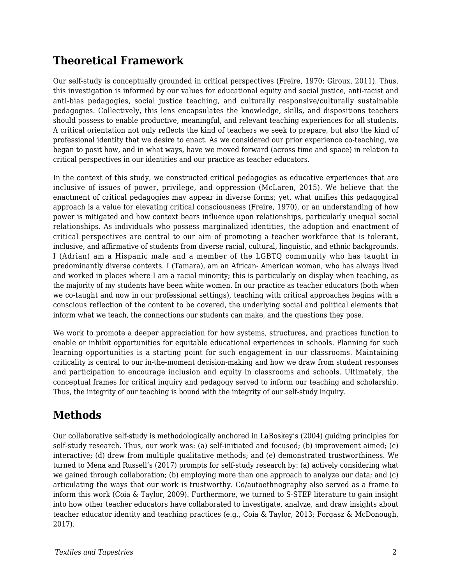## **Theoretical Framework**

Our self-study is conceptually grounded in critical perspectives (Freire, 1970; Giroux, 2011). Thus, this investigation is informed by our values for educational equity and social justice, anti-racist and anti-bias pedagogies, social justice teaching, and culturally responsive/culturally sustainable pedagogies. Collectively, this lens encapsulates the knowledge, skills, and dispositions teachers should possess to enable productive, meaningful, and relevant teaching experiences for all students. A critical orientation not only reflects the kind of teachers we seek to prepare, but also the kind of professional identity that we desire to enact. As we considered our prior experience co-teaching, we began to posit how, and in what ways, have we moved forward (across time and space) in relation to critical perspectives in our identities and our practice as teacher educators.

In the context of this study, we constructed critical pedagogies as educative experiences that are inclusive of issues of power, privilege, and oppression (McLaren, 2015). We believe that the enactment of critical pedagogies may appear in diverse forms; yet, what unifies this pedagogical approach is a value for elevating critical consciousness (Freire, 1970), or an understanding of how power is mitigated and how context bears influence upon relationships, particularly unequal social relationships. As individuals who possess marginalized identities, the adoption and enactment of critical perspectives are central to our aim of promoting a teacher workforce that is tolerant, inclusive, and affirmative of students from diverse racial, cultural, linguistic, and ethnic backgrounds. I (Adrian) am a Hispanic male and a member of the LGBTQ community who has taught in predominantly diverse contexts. I (Tamara), am an African- American woman, who has always lived and worked in places where I am a racial minority; this is particularly on display when teaching, as the majority of my students have been white women. In our practice as teacher educators (both when we co-taught and now in our professional settings), teaching with critical approaches begins with a conscious reflection of the content to be covered, the underlying social and political elements that inform what we teach, the connections our students can make, and the questions they pose.

We work to promote a deeper appreciation for how systems, structures, and practices function to enable or inhibit opportunities for equitable educational experiences in schools. Planning for such learning opportunities is a starting point for such engagement in our classrooms. Maintaining criticality is central to our in-the-moment decision-making and how we draw from student responses and participation to encourage inclusion and equity in classrooms and schools. Ultimately, the conceptual frames for critical inquiry and pedagogy served to inform our teaching and scholarship. Thus, the integrity of our teaching is bound with the integrity of our self-study inquiry.

## **Methods**

Our collaborative self-study is methodologically anchored in LaBoskey's (2004) guiding principles for self-study research. Thus, our work was: (a) self-initiated and focused; (b) improvement aimed; (c) interactive; (d) drew from multiple qualitative methods; and (e) demonstrated trustworthiness. We turned to Mena and Russell's (2017) prompts for self-study research by: (a) actively considering what we gained through collaboration; (b) employing more than one approach to analyze our data; and (c) articulating the ways that our work is trustworthy. Co/autoethnography also served as a frame to inform this work (Coia & Taylor, 2009). Furthermore, we turned to S-STEP literature to gain insight into how other teacher educators have collaborated to investigate, analyze, and draw insights about teacher educator identity and teaching practices (e.g., Coia & Taylor, 2013; Forgasz & McDonough, 2017).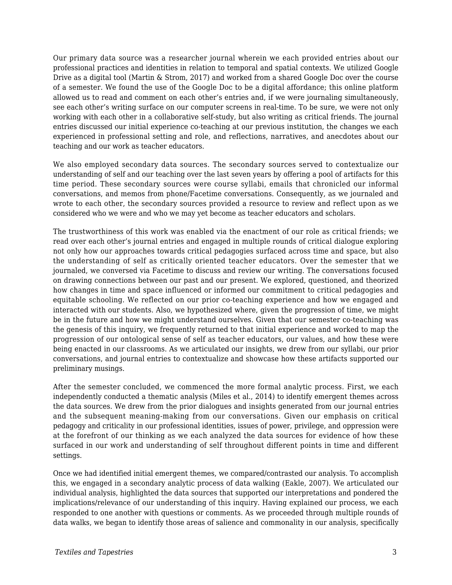Our primary data source was a researcher journal wherein we each provided entries about our professional practices and identities in relation to temporal and spatial contexts. We utilized Google Drive as a digital tool (Martin & Strom, 2017) and worked from a shared Google Doc over the course of a semester. We found the use of the Google Doc to be a digital affordance; this online platform allowed us to read and comment on each other's entries and, if we were journaling simultaneously, see each other's writing surface on our computer screens in real-time. To be sure, we were not only working with each other in a collaborative self-study, but also writing as critical friends. The journal entries discussed our initial experience co-teaching at our previous institution, the changes we each experienced in professional setting and role, and reflections, narratives, and anecdotes about our teaching and our work as teacher educators.

We also employed secondary data sources. The secondary sources served to contextualize our understanding of self and our teaching over the last seven years by offering a pool of artifacts for this time period. These secondary sources were course syllabi, emails that chronicled our informal conversations, and memos from phone/Facetime conversations. Consequently, as we journaled and wrote to each other, the secondary sources provided a resource to review and reflect upon as we considered who we were and who we may yet become as teacher educators and scholars.

The trustworthiness of this work was enabled via the enactment of our role as critical friends; we read over each other's journal entries and engaged in multiple rounds of critical dialogue exploring not only how our approaches towards critical pedagogies surfaced across time and space, but also the understanding of self as critically oriented teacher educators. Over the semester that we journaled, we conversed via Facetime to discuss and review our writing. The conversations focused on drawing connections between our past and our present. We explored, questioned, and theorized how changes in time and space influenced or informed our commitment to critical pedagogies and equitable schooling. We reflected on our prior co-teaching experience and how we engaged and interacted with our students. Also, we hypothesized where, given the progression of time, we might be in the future and how we might understand ourselves. Given that our semester co-teaching was the genesis of this inquiry, we frequently returned to that initial experience and worked to map the progression of our ontological sense of self as teacher educators, our values, and how these were being enacted in our classrooms. As we articulated our insights, we drew from our syllabi, our prior conversations, and journal entries to contextualize and showcase how these artifacts supported our preliminary musings.

After the semester concluded, we commenced the more formal analytic process. First, we each independently conducted a thematic analysis (Miles et al., 2014) to identify emergent themes across the data sources. We drew from the prior dialogues and insights generated from our journal entries and the subsequent meaning-making from our conversations. Given our emphasis on critical pedagogy and criticality in our professional identities, issues of power, privilege, and oppression were at the forefront of our thinking as we each analyzed the data sources for evidence of how these surfaced in our work and understanding of self throughout different points in time and different settings.

Once we had identified initial emergent themes, we compared/contrasted our analysis. To accomplish this, we engaged in a secondary analytic process of data walking (Eakle, 2007). We articulated our individual analysis, highlighted the data sources that supported our interpretations and pondered the implications/relevance of our understanding of this inquiry. Having explained our process, we each responded to one another with questions or comments. As we proceeded through multiple rounds of data walks, we began to identify those areas of salience and commonality in our analysis, specifically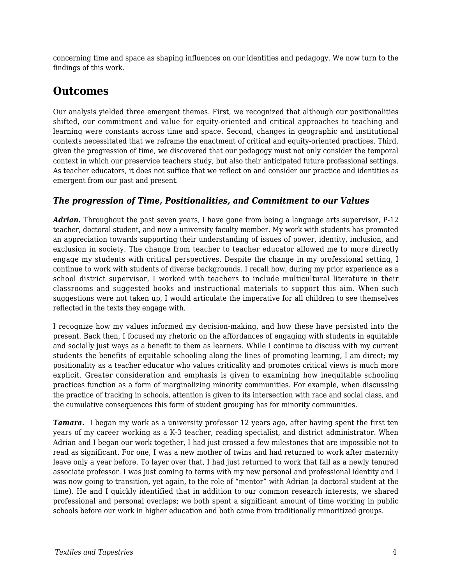concerning time and space as shaping influences on our identities and pedagogy. We now turn to the findings of this work.

### **Outcomes**

Our analysis yielded three emergent themes. First, we recognized that although our positionalities shifted, our commitment and value for equity-oriented and critical approaches to teaching and learning were constants across time and space. Second, changes in geographic and institutional contexts necessitated that we reframe the enactment of critical and equity-oriented practices. Third, given the progression of time, we discovered that our pedagogy must not only consider the temporal context in which our preservice teachers study, but also their anticipated future professional settings. As teacher educators, it does not suffice that we reflect on and consider our practice and identities as emergent from our past and present.

#### *The progression of Time, Positionalities, and Commitment to our Values*

*Adrian.* Throughout the past seven years, I have gone from being a language arts supervisor, P-12 teacher, doctoral student, and now a university faculty member. My work with students has promoted an appreciation towards supporting their understanding of issues of power, identity, inclusion, and exclusion in society. The change from teacher to teacher educator allowed me to more directly engage my students with critical perspectives. Despite the change in my professional setting, I continue to work with students of diverse backgrounds. I recall how, during my prior experience as a school district supervisor, I worked with teachers to include multicultural literature in their classrooms and suggested books and instructional materials to support this aim. When such suggestions were not taken up, I would articulate the imperative for all children to see themselves reflected in the texts they engage with.

I recognize how my values informed my decision-making, and how these have persisted into the present. Back then, I focused my rhetoric on the affordances of engaging with students in equitable and socially just ways as a benefit to them as learners. While I continue to discuss with my current students the benefits of equitable schooling along the lines of promoting learning, I am direct; my positionality as a teacher educator who values criticality and promotes critical views is much more explicit. Greater consideration and emphasis is given to examining how inequitable schooling practices function as a form of marginalizing minority communities. For example, when discussing the practice of tracking in schools, attention is given to its intersection with race and social class, and the cumulative consequences this form of student grouping has for minority communities.

*Tamara.* I began my work as a university professor 12 years ago, after having spent the first ten years of my career working as a K-3 teacher, reading specialist, and district administrator. When Adrian and I began our work together, I had just crossed a few milestones that are impossible not to read as significant. For one, I was a new mother of twins and had returned to work after maternity leave only a year before. To layer over that, I had just returned to work that fall as a newly tenured associate professor. I was just coming to terms with my new personal and professional identity and I was now going to transition, yet again, to the role of "mentor" with Adrian (a doctoral student at the time). He and I quickly identified that in addition to our common research interests, we shared professional and personal overlaps; we both spent a significant amount of time working in public schools before our work in higher education and both came from traditionally minoritized groups.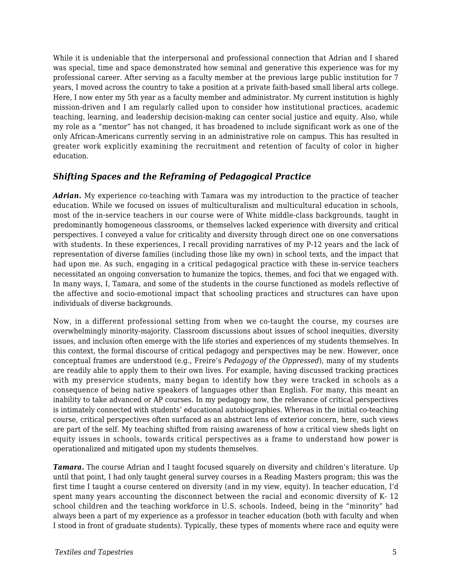While it is undeniable that the interpersonal and professional connection that Adrian and I shared was special, time and space demonstrated how seminal and generative this experience was for my professional career. After serving as a faculty member at the previous large public institution for 7 years, I moved across the country to take a position at a private faith-based small liberal arts college. Here, I now enter my 5th year as a faculty member and administrator. My current institution is highly mission-driven and I am regularly called upon to consider how institutional practices, academic teaching, learning, and leadership decision-making can center social justice and equity. Also, while my role as a "mentor" has not changed, it has broadened to include significant work as one of the only African-Americans currently serving in an administrative role on campus. This has resulted in greater work explicitly examining the recruitment and retention of faculty of color in higher education.

#### *Shifting Spaces and the Reframing of Pedagogical Practice*

*Adrian.* My experience co-teaching with Tamara was my introduction to the practice of teacher education. While we focused on issues of multiculturalism and multicultural education in schools, most of the in-service teachers in our course were of White middle-class backgrounds, taught in predominantly homogeneous classrooms, or themselves lacked experience with diversity and critical perspectives. I conveyed a value for criticality and diversity through direct one on one conversations with students. In these experiences, I recall providing narratives of my P-12 years and the lack of representation of diverse families (including those like my own) in school texts, and the impact that had upon me. As such, engaging in a critical pedagogical practice with these in-service teachers necessitated an ongoing conversation to humanize the topics, themes, and foci that we engaged with. In many ways, I, Tamara, and some of the students in the course functioned as models reflective of the affective and socio-emotional impact that schooling practices and structures can have upon individuals of diverse backgrounds.

Now, in a different professional setting from when we co-taught the course, my courses are overwhelmingly minority-majority. Classroom discussions about issues of school inequities, diversity issues, and inclusion often emerge with the life stories and experiences of my students themselves. In this context, the formal discourse of critical pedagogy and perspectives may be new. However, once conceptual frames are understood (e.g., Freire's *Pedagogy of the Oppressed*), many of my students are readily able to apply them to their own lives. For example, having discussed tracking practices with my preservice students, many began to identify how they were tracked in schools as a consequence of being native speakers of languages other than English. For many, this meant an inability to take advanced or AP courses. In my pedagogy now, the relevance of critical perspectives is intimately connected with students' educational autobiographies. Whereas in the initial co-teaching course, critical perspectives often surfaced as an abstract lens of exterior concern, here, such views are part of the self. My teaching shifted from raising awareness of how a critical view sheds light on equity issues in schools, towards critical perspectives as a frame to understand how power is operationalized and mitigated upon my students themselves.

*Tamara.* The course Adrian and I taught focused squarely on diversity and children's literature. Up until that point, I had only taught general survey courses in a Reading Masters program; this was the first time I taught a course centered on diversity (and in my view, equity). In teacher education, I'd spent many years accounting the disconnect between the racial and economic diversity of K- 12 school children and the teaching workforce in U.S. schools. Indeed, being in the "minority" had always been a part of my experience as a professor in teacher education (both with faculty and when I stood in front of graduate students). Typically, these types of moments where race and equity were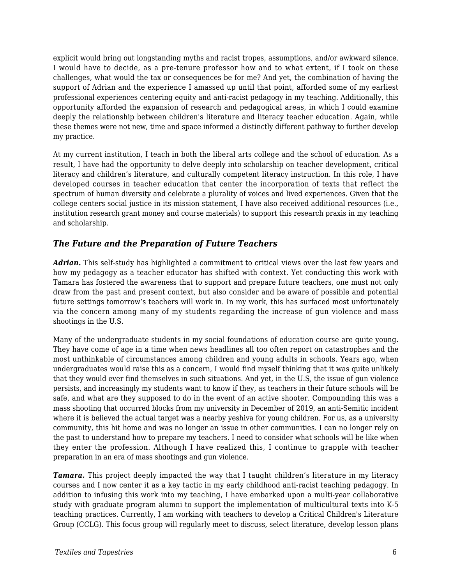explicit would bring out longstanding myths and racist tropes, assumptions, and/or awkward silence. I would have to decide, as a pre-tenure professor how and to what extent, if I took on these challenges, what would the tax or consequences be for me? And yet, the combination of having the support of Adrian and the experience I amassed up until that point, afforded some of my earliest professional experiences centering equity and anti-racist pedagogy in my teaching. Additionally, this opportunity afforded the expansion of research and pedagogical areas, in which I could examine deeply the relationship between children's literature and literacy teacher education. Again, while these themes were not new, time and space informed a distinctly different pathway to further develop my practice.

At my current institution, I teach in both the liberal arts college and the school of education. As a result, I have had the opportunity to delve deeply into scholarship on teacher development, critical literacy and children's literature, and culturally competent literacy instruction. In this role, I have developed courses in teacher education that center the incorporation of texts that reflect the spectrum of human diversity and celebrate a plurality of voices and lived experiences. Given that the college centers social justice in its mission statement, I have also received additional resources (i.e., institution research grant money and course materials) to support this research praxis in my teaching and scholarship.

#### *The Future and the Preparation of Future Teachers*

*Adrian.* This self-study has highlighted a commitment to critical views over the last few years and how my pedagogy as a teacher educator has shifted with context. Yet conducting this work with Tamara has fostered the awareness that to support and prepare future teachers, one must not only draw from the past and present context, but also consider and be aware of possible and potential future settings tomorrow's teachers will work in. In my work, this has surfaced most unfortunately via the concern among many of my students regarding the increase of gun violence and mass shootings in the U.S.

Many of the undergraduate students in my social foundations of education course are quite young. They have come of age in a time when news headlines all too often report on catastrophes and the most unthinkable of circumstances among children and young adults in schools. Years ago, when undergraduates would raise this as a concern, I would find myself thinking that it was quite unlikely that they would ever find themselves in such situations. And yet, in the U.S, the issue of gun violence persists, and increasingly my students want to know if they, as teachers in their future schools will be safe, and what are they supposed to do in the event of an active shooter. Compounding this was a mass shooting that occurred blocks from my university in December of 2019, an anti-Semitic incident where it is believed the actual target was a nearby yeshiva for young children. For us, as a university community, this hit home and was no longer an issue in other communities. I can no longer rely on the past to understand how to prepare my teachers. I need to consider what schools will be like when they enter the profession. Although I have realized this, I continue to grapple with teacher preparation in an era of mass shootings and gun violence.

*Tamara.* This project deeply impacted the way that I taught children's literature in my literacy courses and I now center it as a key tactic in my early childhood anti-racist teaching pedagogy. In addition to infusing this work into my teaching, I have embarked upon a multi-year collaborative study with graduate program alumni to support the implementation of multicultural texts into K-5 teaching practices. Currently, I am working with teachers to develop a Critical Children's Literature Group (CCLG). This focus group will regularly meet to discuss, select literature, develop lesson plans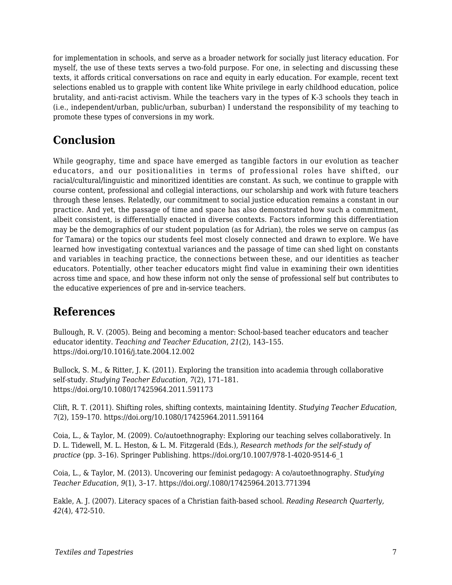for implementation in schools, and serve as a broader network for socially just literacy education. For myself, the use of these texts serves a two-fold purpose. For one, in selecting and discussing these texts, it affords critical conversations on race and equity in early education. For example, recent text selections enabled us to grapple with content like White privilege in early childhood education, police brutality, and anti-racist activism. While the teachers vary in the types of K-3 schools they teach in (i.e., independent/urban, public/urban, suburban) I understand the responsibility of my teaching to promote these types of conversions in my work.

# **Conclusion**

While geography, time and space have emerged as tangible factors in our evolution as teacher educators, and our positionalities in terms of professional roles have shifted, our racial/cultural/linguistic and minoritized identities are constant. As such, we continue to grapple with course content, professional and collegial interactions, our scholarship and work with future teachers through these lenses. Relatedly, our commitment to social justice education remains a constant in our practice. And yet, the passage of time and space has also demonstrated how such a commitment, albeit consistent, is differentially enacted in diverse contexts. Factors informing this differentiation may be the demographics of our student population (as for Adrian), the roles we serve on campus (as for Tamara) or the topics our students feel most closely connected and drawn to explore. We have learned how investigating contextual variances and the passage of time can shed light on constants and variables in teaching practice, the connections between these, and our identities as teacher educators. Potentially, other teacher educators might find value in examining their own identities across time and space, and how these inform not only the sense of professional self but contributes to the educative experiences of pre and in-service teachers.

### **References**

Bullough, R. V. (2005). Being and becoming a mentor: School-based teacher educators and teacher educator identity. *Teaching and Teacher Education*, *21*(2), 143–155. https://doi.org/10.1016/j.tate.2004.12.002

Bullock, S. M., & Ritter, J. K. (2011). Exploring the transition into academia through collaborative self-study. *Studying Teacher Education*, *7*(2), 171–181. https://doi.org/10.1080/17425964.2011.591173

Clift, R. T. (2011). Shifting roles, shifting contexts, maintaining Identity. *Studying Teacher Education*, *7*(2), 159–170. https://doi.org/10.1080/17425964.2011.591164

Coia, L., & Taylor, M. (2009). Co/autoethnography: Exploring our teaching selves collaboratively. In D. L. Tidewell, M. L. Heston, & L. M. Fitzgerald (Eds.), *Research methods for the self-study of practice* (pp. 3–16). Springer Publishing. https://doi.org/10.1007/978-1-4020-9514-6\_1

Coia, L., & Taylor, M. (2013). Uncovering our feminist pedagogy: A co/autoethnography. *Studying Teacher Education*, *9*(1), 3–17. https://doi.org/.1080/17425964.2013.771394

Eakle, A. J. (2007). Literacy spaces of a Christian faith-based school. *Reading Research Quarterly, 42*(4), 472-510.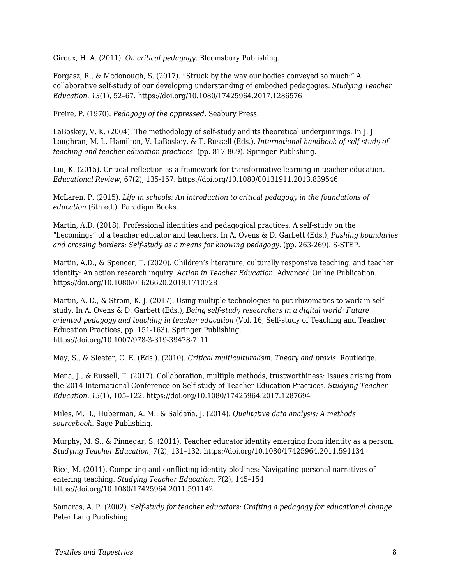Giroux, H. A. (2011). *On critical pedagogy*. Bloomsbury Publishing.

Forgasz, R., & Mcdonough, S. (2017). "Struck by the way our bodies conveyed so much:" A collaborative self-study of our developing understanding of embodied pedagogies. *Studying Teacher Education*, *13*(1), 52–67. https://doi.org/10.1080/17425964.2017.1286576

Freire, P. (1970). *Pedagogy of the oppressed*. Seabury Press.

LaBoskey, V. K. (2004). The methodology of self-study and its theoretical underpinnings. In J. J. Loughran, M. L. Hamilton, V. LaBoskey, & T. Russell (Eds.). *International handbook of self-study of teaching and teacher education practices*. (pp. 817-869). Springer Publishing.

Liu, K. (2015). Critical reflection as a framework for transformative learning in teacher education. *Educational Review*, 67(2), 135-157. https://doi.org/10.1080/00131911.2013.839546

McLaren, P. (2015). *Life in schools: An introduction to critical pedagogy in the foundations of education* (6th ed.). Paradigm Books.

Martin, A.D. (2018). Professional identities and pedagogical practices: A self-study on the "becomings" of a teacher educator and teachers. In A. Ovens & D. Garbett (Eds.), *Pushing boundaries and crossing borders: Self-study as a means for knowing pedagogy*. (pp. 263-269). S-STEP.

Martin, A.D., & Spencer, T. (2020). Children's literature, culturally responsive teaching, and teacher identity: An action research inquiry. *Action in Teacher Education*. Advanced Online Publication. https://doi.org/10.1080/01626620.2019.1710728

Martin, A. D., & Strom, K. J. (2017). Using multiple technologies to put rhizomatics to work in selfstudy. In A. Ovens & D. Garbett (Eds.), *Being self-study researchers in a digital world: Future oriented pedagogy and teaching in teacher education* (Vol. 16, Self-study of Teaching and Teacher Education Practices, pp. 151-163). Springer Publishing. https://doi.org/10.1007/978-3-319-39478-7\_11

May, S., & Sleeter, C. E. (Eds.). (2010). *Critical multiculturalism: Theory and praxis*. Routledge.

Mena, J., & Russell, T. (2017). Collaboration, multiple methods, trustworthiness: Issues arising from the 2014 International Conference on Self-study of Teacher Education Practices. *Studying Teacher Education*, *13*(1), 105–122. https://doi.org/10.1080/17425964.2017.1287694

Miles, M. B., Huberman, A. M., & Saldaña, J. (2014). *Qualitative data analysis: A methods sourcebook*. Sage Publishing.

Murphy, M. S., & Pinnegar, S. (2011). Teacher educator identity emerging from identity as a person. *Studying Teacher Education*, *7*(2), 131–132. https://doi.org/10.1080/17425964.2011.591134

Rice, M. (2011). Competing and conflicting identity plotlines: Navigating personal narratives of entering teaching. *Studying Teacher Education*, *7*(2), 145–154. https://doi.org/10.1080/17425964.2011.591142

Samaras, A. P. (2002). *Self-study for teacher educators: Crafting a pedagogy for educational change*. Peter Lang Publishing.